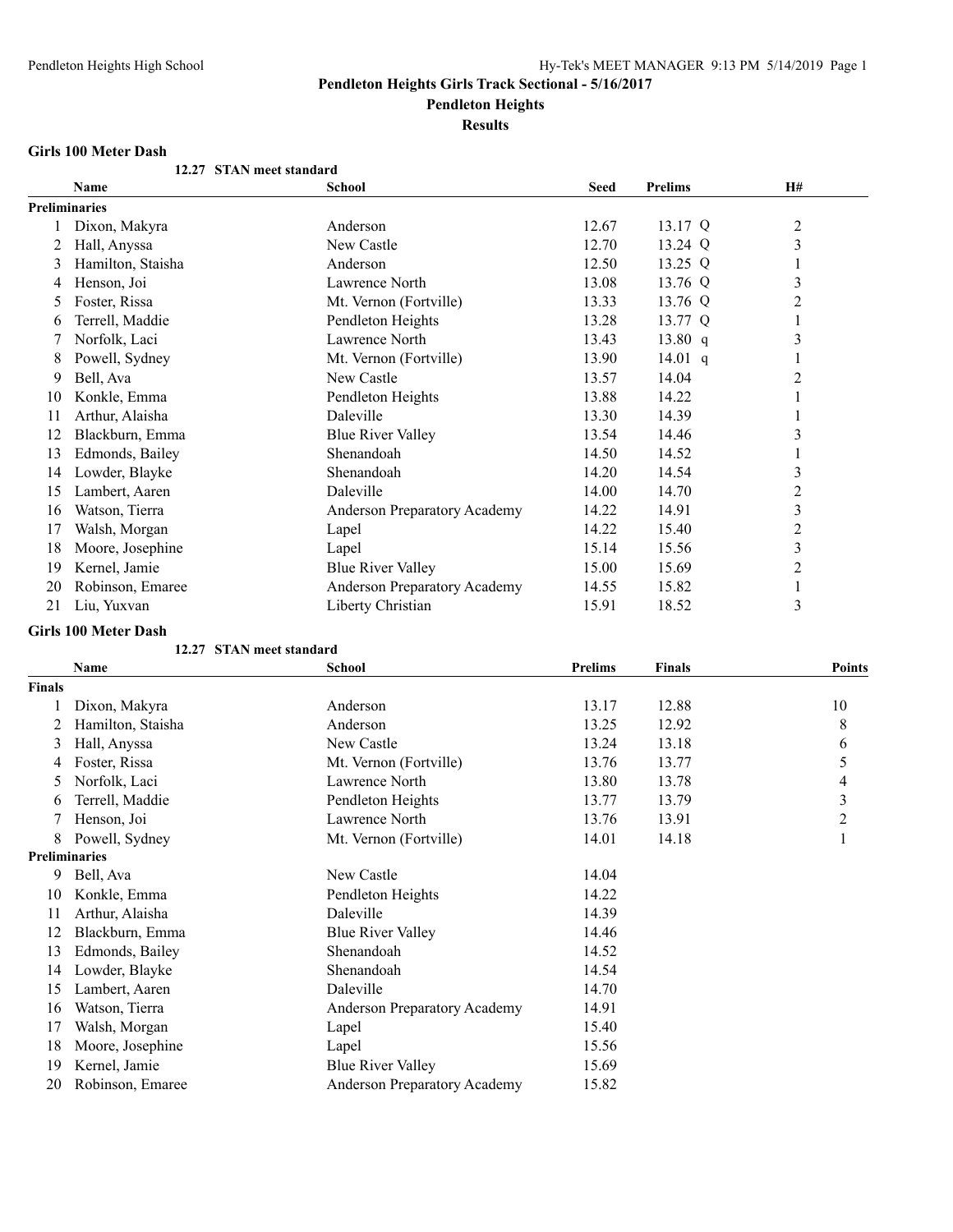# **Pendleton Heights**

#### **Results**

### **Girls 100 Meter Dash**

|  | 12.27 STAN meet standard |
|--|--------------------------|
|--|--------------------------|

|    | <b>Name</b>          | <b>School</b>                | <b>Seed</b> | <b>Prelims</b> | H#                      |
|----|----------------------|------------------------------|-------------|----------------|-------------------------|
|    | <b>Preliminaries</b> |                              |             |                |                         |
|    | Dixon, Makyra        | Anderson                     | 12.67       | 13.17 Q        | $\overline{\mathbf{c}}$ |
|    | Hall, Anyssa         | New Castle                   | 12.70       | 13.24 Q        | $\mathfrak{Z}$          |
| 3  | Hamilton, Staisha    | Anderson                     | 12.50       | 13.25 Q        |                         |
| 4  | Henson, Joi          | Lawrence North               | 13.08       | 13.76 Q        | 3                       |
| 5  | Foster, Rissa        | Mt. Vernon (Fortville)       | 13.33       | 13.76 Q        | $\overline{2}$          |
| 6  | Terrell, Maddie      | Pendleton Heights            | 13.28       | 13.77 Q        |                         |
|    | Norfolk, Laci        | Lawrence North               | 13.43       | 13.80 q        | 3                       |
| 8  | Powell, Sydney       | Mt. Vernon (Fortville)       | 13.90       | $14.01$ q      |                         |
| 9  | Bell, Ava            | New Castle                   | 13.57       | 14.04          | 2                       |
| 10 | Konkle, Emma         | Pendleton Heights            | 13.88       | 14.22          |                         |
| 11 | Arthur, Alaisha      | Daleville                    | 13.30       | 14.39          |                         |
| 12 | Blackburn, Emma      | <b>Blue River Valley</b>     | 13.54       | 14.46          | 3                       |
| 13 | Edmonds, Bailey      | Shenandoah                   | 14.50       | 14.52          |                         |
| 14 | Lowder, Blayke       | Shenandoah                   | 14.20       | 14.54          | $\mathfrak{Z}$          |
| 15 | Lambert, Aaren       | Daleville                    | 14.00       | 14.70          | $\overline{2}$          |
| 16 | Watson, Tierra       | Anderson Preparatory Academy | 14.22       | 14.91          | $\mathfrak{Z}$          |
| 17 | Walsh, Morgan        | Lapel                        | 14.22       | 15.40          | $\overline{c}$          |
| 18 | Moore, Josephine     | Lapel                        | 15.14       | 15.56          | $\mathfrak{Z}$          |
| 19 | Kernel, Jamie        | <b>Blue River Valley</b>     | 15.00       | 15.69          | 2                       |
| 20 | Robinson, Emaree     | Anderson Preparatory Academy | 14.55       | 15.82          |                         |
| 21 | Liu, Yuxvan          | Liberty Christian            | 15.91       | 18.52          | 3                       |

### **Girls 100 Meter Dash**

**12.27 STAN meet standard**

|        | Name                 | <b>School</b>                       | <b>Prelims</b> | <b>Finals</b> | <b>Points</b>           |
|--------|----------------------|-------------------------------------|----------------|---------------|-------------------------|
| Finals |                      |                                     |                |               |                         |
|        | Dixon, Makyra        | Anderson                            | 13.17          | 12.88         | 10                      |
| 2      | Hamilton, Staisha    | Anderson                            | 13.25          | 12.92         | 8                       |
| 3      | Hall, Anyssa         | New Castle                          | 13.24          | 13.18         | 6                       |
|        | Foster, Rissa        | Mt. Vernon (Fortville)              | 13.76          | 13.77         | 5                       |
| 5      | Norfolk, Laci        | Lawrence North                      | 13.80          | 13.78         | 4                       |
| 6      | Terrell, Maddie      | Pendleton Heights                   | 13.77          | 13.79         | 3                       |
|        | Henson, Joi          | Lawrence North                      | 13.76          | 13.91         | $\overline{\mathbf{c}}$ |
| 8      | Powell, Sydney       | Mt. Vernon (Fortville)              | 14.01          | 14.18         |                         |
|        | <b>Preliminaries</b> |                                     |                |               |                         |
| 9      | Bell, Ava            | New Castle                          | 14.04          |               |                         |
| 10     | Konkle, Emma         | Pendleton Heights                   | 14.22          |               |                         |
| 11     | Arthur, Alaisha      | Daleville                           | 14.39          |               |                         |
| 12     | Blackburn, Emma      | <b>Blue River Valley</b>            | 14.46          |               |                         |
| 13     | Edmonds, Bailey      | Shenandoah                          | 14.52          |               |                         |
| 14     | Lowder, Blayke       | Shenandoah                          | 14.54          |               |                         |
| 15     | Lambert, Aaren       | Daleville                           | 14.70          |               |                         |
| 16     | Watson, Tierra       | Anderson Preparatory Academy        | 14.91          |               |                         |
| 17     | Walsh, Morgan        | Lapel                               | 15.40          |               |                         |
| 18     | Moore, Josephine     | Lapel                               | 15.56          |               |                         |
| 19     | Kernel, Jamie        | <b>Blue River Valley</b>            | 15.69          |               |                         |
| 20     | Robinson, Emaree     | <b>Anderson Preparatory Academy</b> | 15.82          |               |                         |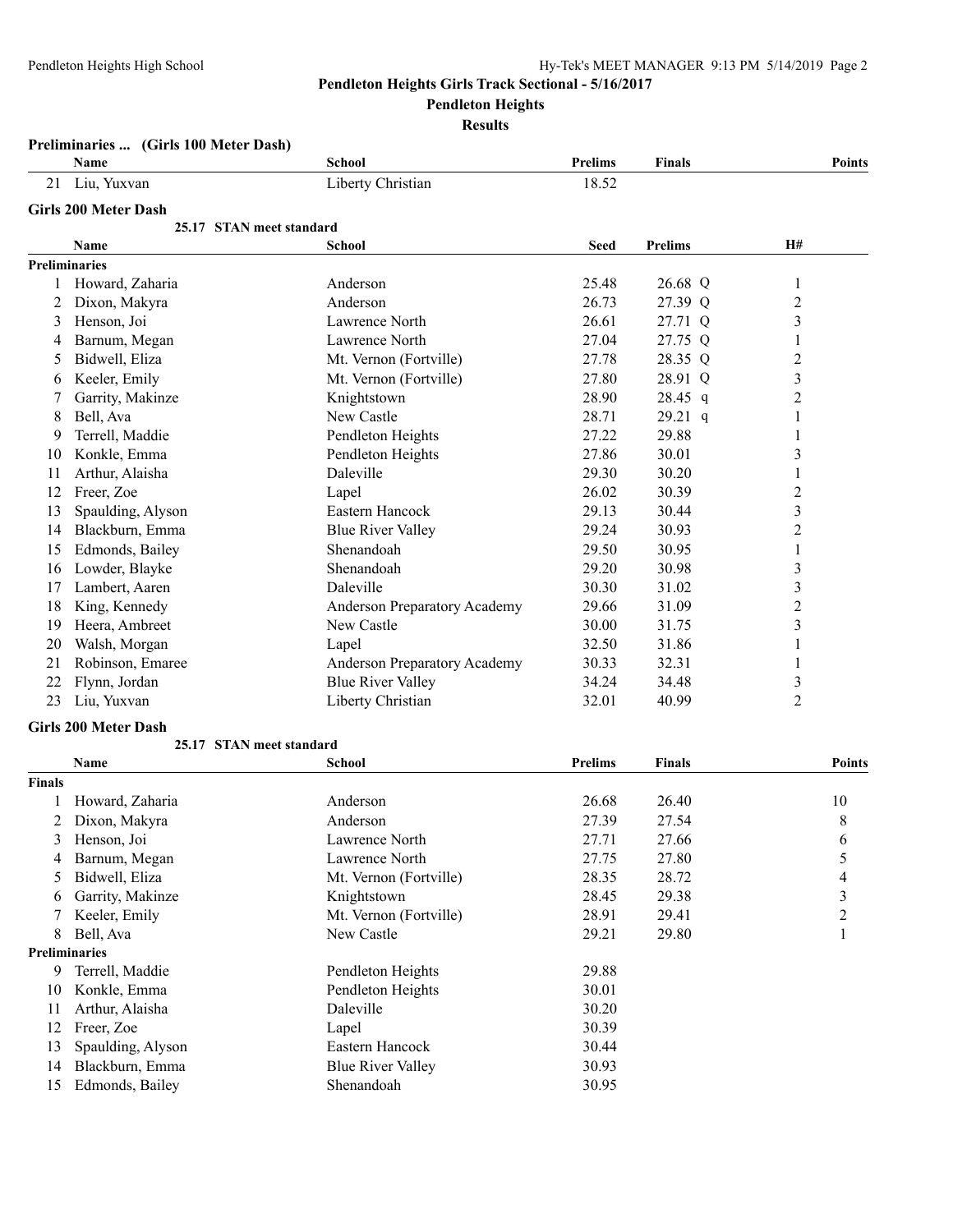# **Pendleton Heights**

**Results**

# **Preliminaries ... (Girls 100 Meter Dash)**

|    | <b>Name</b>                 | <b>School</b>                       | <b>Prelims</b> | <b>Finals</b>  | <b>Points</b>           |
|----|-----------------------------|-------------------------------------|----------------|----------------|-------------------------|
| 21 | Liu, Yuxvan                 | Liberty Christian                   | 18.52          |                |                         |
|    | <b>Girls 200 Meter Dash</b> |                                     |                |                |                         |
|    | 25.17 STAN meet standard    |                                     |                |                |                         |
|    | <b>Name</b>                 | <b>School</b>                       | <b>Seed</b>    | <b>Prelims</b> | <b>H#</b>               |
|    | <b>Preliminaries</b>        |                                     |                |                |                         |
|    | Howard, Zaharia             | Anderson                            | 25.48          | 26.68 Q        | 1                       |
| 2  | Dixon, Makyra               | Anderson                            | 26.73          | 27.39 Q        | $\overline{c}$          |
| 3  | Henson, Joi                 | Lawrence North                      | 26.61          | 27.71 Q        | 3                       |
| 4  | Barnum, Megan               | Lawrence North                      | 27.04          | 27.75 Q        | $\mathbf{1}$            |
| 5  | Bidwell, Eliza              | Mt. Vernon (Fortville)              | 27.78          | 28.35 Q        | $\overline{c}$          |
| 6  | Keeler, Emily               | Mt. Vernon (Fortville)              | 27.80          | 28.91 Q        | 3                       |
|    | Garrity, Makinze            | Knightstown                         | 28.90          | $28.45$ q      | $\overline{c}$          |
| 8  | Bell, Ava                   | New Castle                          | 28.71          | $29.21$ q      | 1                       |
| 9  | Terrell, Maddie             | Pendleton Heights                   | 27.22          | 29.88          | $\mathbf{1}$            |
| 10 | Konkle, Emma                | Pendleton Heights                   | 27.86          | 30.01          | 3                       |
| 11 | Arthur, Alaisha             | Daleville                           | 29.30          | 30.20          | 1                       |
| 12 | Freer, Zoe                  | Lapel                               | 26.02          | 30.39          | $\overline{c}$          |
| 13 | Spaulding, Alyson           | Eastern Hancock                     | 29.13          | 30.44          | $\overline{\mathbf{3}}$ |
| 14 | Blackburn, Emma             | <b>Blue River Valley</b>            | 29.24          | 30.93          | $\overline{c}$          |
| 15 | Edmonds, Bailey             | Shenandoah                          | 29.50          | 30.95          | 1                       |
| 16 | Lowder, Blayke              | Shenandoah                          | 29.20          | 30.98          | 3                       |
| 17 | Lambert, Aaren              | Daleville                           | 30.30          | 31.02          | 3                       |
| 18 | King, Kennedy               | <b>Anderson Preparatory Academy</b> | 29.66          | 31.09          | $\overline{c}$          |
| 19 | Heera, Ambreet              | New Castle                          | 30.00          | 31.75          | 3                       |
| 20 | Walsh, Morgan               | Lapel                               | 32.50          | 31.86          | 1                       |
| 21 | Robinson, Emaree            | Anderson Preparatory Academy        | 30.33          | 32.31          | $\mathbf{1}$            |
| 22 | Flynn, Jordan               | <b>Blue River Valley</b>            | 34.24          | 34.48          | 3                       |
| 23 | Liu, Yuxvan                 | Liberty Christian                   | 32.01          | 40.99          | $\overline{c}$          |
|    | <b>Girls 200 Meter Dash</b> |                                     |                |                |                         |

### **25.17 STAN meet standard**

|               | <b>Name</b>          | <b>School</b>            | <b>Prelims</b> | <b>Finals</b> | <b>Points</b> |
|---------------|----------------------|--------------------------|----------------|---------------|---------------|
| <b>Finals</b> |                      |                          |                |               |               |
|               | Howard, Zaharia      | Anderson                 | 26.68          | 26.40         | 10            |
| 2             | Dixon, Makyra        | Anderson                 | 27.39          | 27.54         | 8             |
| 3             | Henson, Joi          | Lawrence North           | 27.71          | 27.66         | 6             |
| 4             | Barnum, Megan        | Lawrence North           | 27.75          | 27.80         | 5             |
| 5.            | Bidwell, Eliza       | Mt. Vernon (Fortville)   | 28.35          | 28.72         | 4             |
| 6             | Garrity, Makinze     | Knightstown              | 28.45          | 29.38         | 3             |
|               | Keeler, Emily        | Mt. Vernon (Fortville)   | 28.91          | 29.41         | 2             |
| 8             | Bell, Ava            | New Castle               | 29.21          | 29.80         |               |
|               | <b>Preliminaries</b> |                          |                |               |               |
| 9             | Terrell, Maddie      | Pendleton Heights        | 29.88          |               |               |
| 10            | Konkle, Emma         | Pendleton Heights        | 30.01          |               |               |
| 11            | Arthur, Alaisha      | Daleville                | 30.20          |               |               |
| 12            | Freer, Zoe           | Lapel                    | 30.39          |               |               |
| 13            | Spaulding, Alyson    | Eastern Hancock          | 30.44          |               |               |
| 14            | Blackburn, Emma      | <b>Blue River Valley</b> | 30.93          |               |               |
| 15            | Edmonds, Bailey      | Shenandoah               | 30.95          |               |               |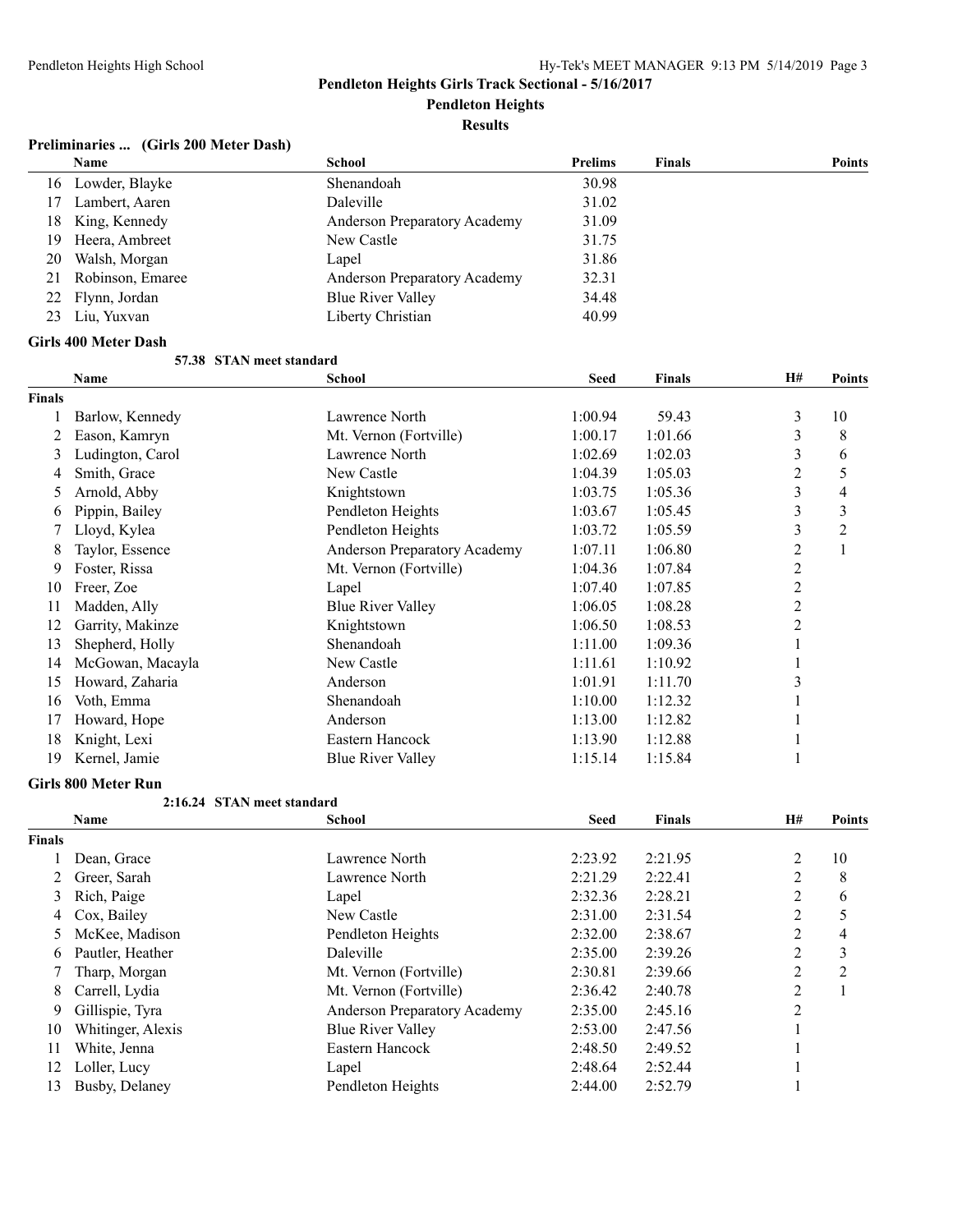#### **Pendleton Heights**

#### **Results**

#### **Preliminaries ... (Girls 200 Meter Dash)**

|    | <b>Name</b>         | School                              | <b>Prelims</b> | <b>Finals</b> | Points |
|----|---------------------|-------------------------------------|----------------|---------------|--------|
|    | 16 Lowder, Blayke   | Shenandoah                          | 30.98          |               |        |
| 17 | Lambert, Aaren      | Daleville                           | 31.02          |               |        |
|    | 18 King, Kennedy    | <b>Anderson Preparatory Academy</b> | 31.09          |               |        |
|    | 19 Heera, Ambreet   | New Castle                          | 31.75          |               |        |
| 20 | Walsh, Morgan       | Lapel                               | 31.86          |               |        |
|    | 21 Robinson, Emaree | Anderson Preparatory Academy        | 32.31          |               |        |
|    | 22 Flynn, Jordan    | <b>Blue River Valley</b>            | 34.48          |               |        |
|    | 23 Liu, Yuxvan      | Liberty Christian                   | 40.99          |               |        |
|    |                     |                                     |                |               |        |

#### **Girls 400 Meter Dash**

# **57.38 STAN meet standard Name School Seed Finals H# Points Finals** 1 Barlow, Kennedy Lawrence North 1:00.94 59.43 3 10 2 Eason, Kamryn Mt. Vernon (Fortville) 1:00.17 1:01.66 3 8 3 Ludington, Carol Lawrence North 1:02.69 1:02.03 3 6 4 Smith, Grace 2 5 New Castle 1:04.39 1:05.03 2 5 5 Arnold, Abby Knightstown 1:03.75 1:05.36 3 4 6 Pippin, Bailey **Pendleton Heights** 1:03.67 1:05.45 3 3 7 Lloyd, Kylea **Pendleton Heights** 1:03.72 1:05.59 3 2 8 Taylor, Essence Anderson Preparatory Academy 1:07.11 1:06.80 2 1 9 Foster, Rissa Mt. Vernon (Fortville) 1:04.36 1:07.84 2 10 Freer, Zoe **Lapel** Lapel 1:07.40 1:07.85 2 11 Madden, Ally Blue River Valley 1:06.05 1:08.28 2 12 Garrity, Makinze **Knightstown** 1:06.50 1:08.53 2 13 Shepherd, Holly Shenandoah 1:11.00 1:09.36 1 14 McGowan, Macayla New Castle 1:11.61 1:10.92 1 15 Howard, Zaharia Anderson 1:01.91 1:11.70 3 16 Voth, Emma Shenandoah 1:10.00 1:12.32 1 17 Howard, Hope **Anderson Anderson** 1:13.00 1:12.82 1 18 Knight, Lexi Eastern Hancock 1:13.90 1:12.88 1 19 Kernel, Jamie 1:15.14 1:15.84 1 Blue River Valley 1:15.14 1:15.84 1 **Girls 800 Meter Run**

#### **2:16.24 STAN meet standard**

|               | Name              | <b>School</b>                | <b>Seed</b> | <b>Finals</b> | <b>H#</b>      | <b>Points</b>  |
|---------------|-------------------|------------------------------|-------------|---------------|----------------|----------------|
| <b>Finals</b> |                   |                              |             |               |                |                |
|               | Dean, Grace       | Lawrence North               | 2:23.92     | 2:21.95       | $\overline{2}$ | 10             |
|               | Greer, Sarah      | Lawrence North               | 2:21.29     | 2:22.41       | $\overline{2}$ | 8              |
| 3             | Rich, Paige       | Lapel                        | 2:32.36     | 2:28.21       | $\overline{2}$ | 6              |
| 4             | Cox, Bailey       | New Castle                   | 2:31.00     | 2:31.54       | $\overline{2}$ | 5              |
|               | McKee, Madison    | Pendleton Heights            | 2:32.00     | 2:38.67       | $\overline{2}$ | 4              |
| 6             | Pautler, Heather  | Daleville                    | 2:35.00     | 2:39.26       | $\overline{2}$ | 3              |
|               | Tharp, Morgan     | Mt. Vernon (Fortville)       | 2:30.81     | 2:39.66       | $\overline{2}$ | $\overline{2}$ |
| 8             | Carrell, Lydia    | Mt. Vernon (Fortville)       | 2:36.42     | 2:40.78       | $\overline{2}$ |                |
| 9             | Gillispie, Tyra   | Anderson Preparatory Academy | 2:35.00     | 2:45.16       | $\overline{2}$ |                |
| 10            | Whitinger, Alexis | <b>Blue River Valley</b>     | 2:53.00     | 2:47.56       |                |                |
| 11            | White, Jenna      | Eastern Hancock              | 2:48.50     | 2:49.52       |                |                |
| 12            | Loller, Lucy      | Lapel                        | 2:48.64     | 2:52.44       |                |                |
| 13            | Busby, Delaney    | Pendleton Heights            | 2:44.00     | 2:52.79       |                |                |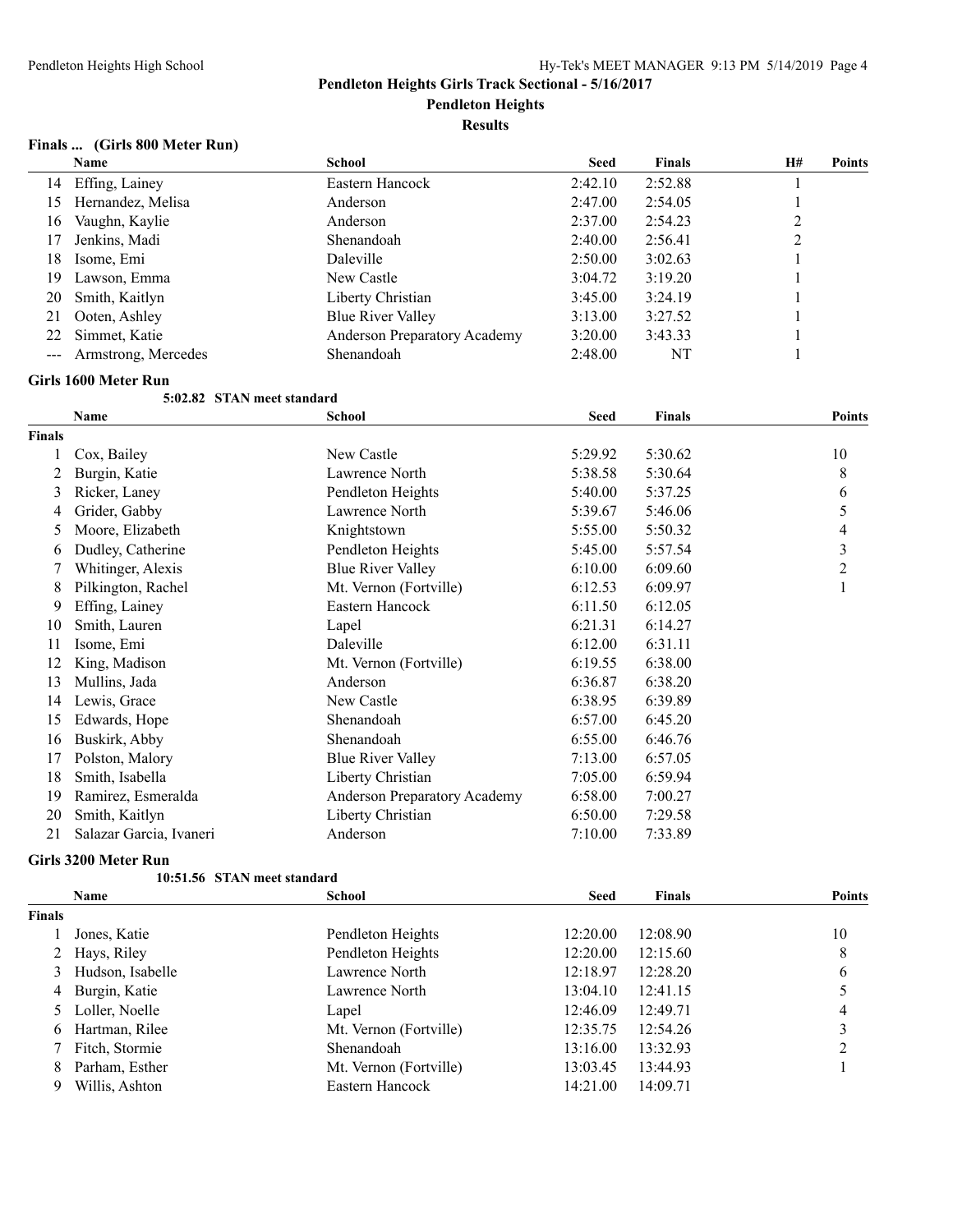**Pendleton Heights**

### **Results**

# **Finals ... (Girls 800 Meter Run)**

|     | <b>Name</b>         | School                       | <b>Seed</b> | <b>Finals</b> | <b>H#</b> | <b>Points</b> |
|-----|---------------------|------------------------------|-------------|---------------|-----------|---------------|
| 14  | Effing, Lainey      | Eastern Hancock              | 2:42.10     | 2:52.88       |           |               |
| 15  | Hernandez, Melisa   | Anderson                     | 2:47.00     | 2:54.05       |           |               |
| 16  | Vaughn, Kaylie      | Anderson                     | 2:37.00     | 2:54.23       |           |               |
| 17  | Jenkins, Madi       | Shenandoah                   | 2:40.00     | 2:56.41       | 2         |               |
| 18  | Isome, Emi          | Daleville                    | 2:50.00     | 3:02.63       |           |               |
| 19  | Lawson, Emma        | New Castle                   | 3:04.72     | 3:19.20       |           |               |
| 20  | Smith, Kaitlyn      | Liberty Christian            | 3:45.00     | 3:24.19       |           |               |
| 21  | Ooten, Ashley       | <b>Blue River Valley</b>     | 3:13.00     | 3:27.52       |           |               |
| 22. | Simmet, Katie       | Anderson Preparatory Academy | 3:20.00     | 3:43.33       |           |               |
|     | Armstrong, Mercedes | Shenandoah                   | 2:48.00     | NT            |           |               |

### **Girls 1600 Meter Run**

**5:02.82 STAN meet standard**

|        | Name                    | <b>School</b>                | <b>Seed</b> | <b>Finals</b> | <b>Points</b> |
|--------|-------------------------|------------------------------|-------------|---------------|---------------|
| Finals |                         |                              |             |               |               |
|        | Cox, Bailey             | New Castle                   | 5:29.92     | 5:30.62       | 10            |
| 2      | Burgin, Katie           | Lawrence North               | 5:38.58     | 5:30.64       | 8             |
| 3      | Ricker, Laney           | Pendleton Heights            | 5:40.00     | 5:37.25       | 6             |
| 4      | Grider, Gabby           | Lawrence North               | 5:39.67     | 5:46.06       | 5             |
| 5      | Moore, Elizabeth        | Knightstown                  | 5:55.00     | 5:50.32       | 4             |
| 6      | Dudley, Catherine       | Pendleton Heights            | 5:45.00     | 5:57.54       | 3             |
|        | Whitinger, Alexis       | <b>Blue River Valley</b>     | 6:10.00     | 6:09.60       | 2             |
| 8      | Pilkington, Rachel      | Mt. Vernon (Fortville)       | 6:12.53     | 6:09.97       |               |
| 9      | Effing, Lainey          | Eastern Hancock              | 6:11.50     | 6:12.05       |               |
| 10     | Smith, Lauren           | Lapel                        | 6:21.31     | 6:14.27       |               |
| 11     | Isome, Emi              | Daleville                    | 6:12.00     | 6:31.11       |               |
| 12     | King, Madison           | Mt. Vernon (Fortville)       | 6:19.55     | 6:38.00       |               |
| 13     | Mullins, Jada           | Anderson                     | 6:36.87     | 6:38.20       |               |
| 14     | Lewis, Grace            | New Castle                   | 6:38.95     | 6:39.89       |               |
| 15     | Edwards, Hope           | Shenandoah                   | 6:57.00     | 6:45.20       |               |
| 16     | Buskirk, Abby           | Shenandoah                   | 6:55.00     | 6:46.76       |               |
| 17     | Polston, Malory         | <b>Blue River Valley</b>     | 7:13.00     | 6:57.05       |               |
| 18     | Smith, Isabella         | Liberty Christian            | 7:05.00     | 6:59.94       |               |
| 19     | Ramirez, Esmeralda      | Anderson Preparatory Academy | 6:58.00     | 7:00.27       |               |
| 20     | Smith, Kaitlyn          | Liberty Christian            | 6:50.00     | 7:29.58       |               |
| 21     | Salazar Garcia, Ivaneri | Anderson                     | 7:10.00     | 7:33.89       |               |

#### **Girls 3200 Meter Run**

| 10:51.56 STAN meet standard |
|-----------------------------|
|                             |

|               | Name               | <b>School</b>          | <b>Seed</b> | Finals   | <b>Points</b> |
|---------------|--------------------|------------------------|-------------|----------|---------------|
| <b>Finals</b> |                    |                        |             |          |               |
|               | Jones, Katie       | Pendleton Heights      | 12:20.00    | 12:08.90 | 10            |
|               | 2 Hays, Riley      | Pendleton Heights      | 12:20.00    | 12:15.60 | 8             |
|               | 3 Hudson, Isabelle | Lawrence North         | 12:18.97    | 12:28.20 | 6             |
|               | 4 Burgin, Katie    | Lawrence North         | 13:04.10    | 12:41.15 |               |
|               | 5 Loller, Noelle   | Lapel                  | 12:46.09    | 12:49.71 | 4             |
| 6             | Hartman, Rilee     | Mt. Vernon (Fortville) | 12:35.75    | 12:54.26 |               |
|               | Fitch, Stormie     | Shenandoah             | 13:16.00    | 13:32.93 |               |
| 8.            | Parham, Esther     | Mt. Vernon (Fortville) | 13:03.45    | 13:44.93 |               |
|               | Willis, Ashton     | Eastern Hancock        | 14:21.00    | 14:09.71 |               |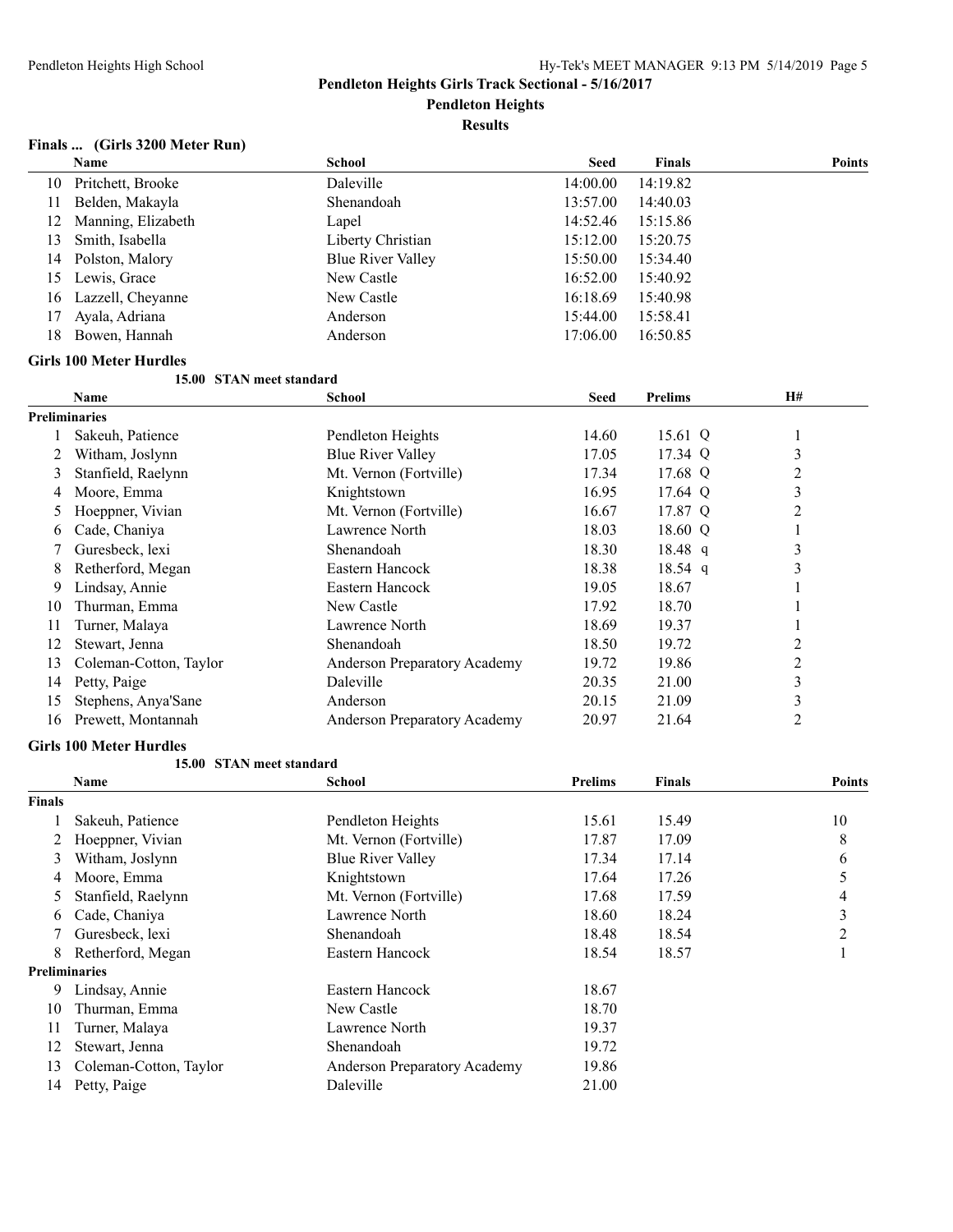**Pendleton Heights**

#### **Results**

# **Finals ... (Girls 3200 Meter Run)**

|               | Name                             | <b>School</b>                | <b>Seed</b>    | <b>Finals</b>  | Points                   |
|---------------|----------------------------------|------------------------------|----------------|----------------|--------------------------|
| 10            | Pritchett, Brooke                | Daleville                    | 14:00.00       | 14:19.82       |                          |
| 11            | Belden, Makayla                  | Shenandoah                   | 13:57.00       | 14:40.03       |                          |
| 12            | Manning, Elizabeth               | Lapel                        | 14:52.46       | 15:15.86       |                          |
| 13            | Smith, Isabella                  | Liberty Christian            | 15:12.00       | 15:20.75       |                          |
| 14            | Polston, Malory                  | <b>Blue River Valley</b>     | 15:50.00       | 15:34.40       |                          |
| 15            | Lewis, Grace                     | New Castle                   | 16:52.00       | 15:40.92       |                          |
| 16            | Lazzell, Cheyanne                | New Castle                   | 16:18.69       | 15:40.98       |                          |
| 17            | Ayala, Adriana                   | Anderson                     | 15:44.00       | 15:58.41       |                          |
| 18            | Bowen, Hannah                    | Anderson                     | 17:06.00       | 16:50.85       |                          |
|               |                                  |                              |                |                |                          |
|               | <b>Girls 100 Meter Hurdles</b>   |                              |                |                |                          |
|               | 15.00 STAN meet standard<br>Name |                              |                |                | <b>H#</b>                |
|               |                                  | School                       | <b>Seed</b>    | <b>Prelims</b> |                          |
|               | <b>Preliminaries</b>             |                              |                |                |                          |
| 1             | Sakeuh, Patience                 | Pendleton Heights            | 14.60          | 15.61 Q        | $\mathbf{1}$             |
| 2             | Witham, Joslynn                  | <b>Blue River Valley</b>     | 17.05          | 17.34 Q        | $\mathfrak{Z}$           |
| 3             | Stanfield, Raelynn               | Mt. Vernon (Fortville)       | 17.34          | 17.68 Q        | $\overline{c}$           |
| 4             | Moore, Emma                      | Knightstown                  | 16.95          | 17.64 Q        | $\overline{\mathbf{3}}$  |
| 5             | Hoeppner, Vivian                 | Mt. Vernon (Fortville)       | 16.67          | 17.87 Q        | $\overline{2}$           |
| 6             | Cade, Chaniya                    | Lawrence North               | 18.03          | 18.60 Q        | $\mathbf{1}$             |
|               | Guresbeck, lexi                  | Shenandoah                   | 18.30          | $18.48$ q      | $\mathfrak{Z}$           |
| 8             | Retherford, Megan                | Eastern Hancock              | 18.38          | $18.54$ q      | 3                        |
| 9             | Lindsay, Annie                   | Eastern Hancock              | 19.05          | 18.67          | 1                        |
| 10            | Thurman, Emma                    | New Castle                   | 17.92          | 18.70          | 1                        |
| 11            | Turner, Malaya                   | Lawrence North               | 18.69          | 19.37          | 1                        |
| 12            | Stewart, Jenna                   | Shenandoah                   | 18.50          | 19.72          | 2                        |
| 13            | Coleman-Cotton, Taylor           | Anderson Preparatory Academy | 19.72          | 19.86          | $\overline{2}$           |
| 14            | Petty, Paige                     | Daleville                    | 20.35          | 21.00          | $\mathfrak{Z}$           |
| 15            | Stephens, Anya'Sane              | Anderson                     | 20.15          | 21.09          | $\mathfrak{Z}$           |
| 16            | Prewett, Montannah               | Anderson Preparatory Academy | 20.97          | 21.64          | $\overline{2}$           |
|               | <b>Girls 100 Meter Hurdles</b>   |                              |                |                |                          |
|               | 15.00 STAN meet standard         |                              |                |                |                          |
|               | Name                             | School                       | <b>Prelims</b> | <b>Finals</b>  | <b>Points</b>            |
| <b>Finals</b> |                                  |                              |                |                |                          |
|               | Sakeuh, Patience                 | Pendleton Heights            | 15.61          | 15.49          | 10                       |
| 2             | Hoeppner, Vivian                 | Mt. Vernon (Fortville)       | 17.87          | 17.09          | 8                        |
| 3             | Witham, Joslynn                  | <b>Blue River Valley</b>     | 17.34          | 17.14          | 6                        |
| 4             | Moore, Emma                      | Knightstown                  | 17.64          | 17.26          | 5                        |
| 5             | Stanfield, Raelynn               | Mt. Vernon (Fortville)       | 17.68          | 17.59          | $\overline{\mathcal{L}}$ |
| 6             | Cade, Chaniya                    | Lawrence North               | 18.60          | 18.24          | 3                        |
| 7             | Guresbeck, lexi                  | Shenandoah                   | 18.48          | 18.54          | $\overline{2}$           |
| 8             | Retherford, Megan                | Eastern Hancock              | 18.54          | 18.57          | 1                        |
|               | <b>Preliminaries</b>             |                              |                |                |                          |
| 9             | Lindsay, Annie                   | Eastern Hancock              | 18.67          |                |                          |
| 10            | Thurman, Emma                    | New Castle                   | 18.70          |                |                          |
| 11            | Turner, Malaya                   | Lawrence North               | 19.37          |                |                          |
| 12            | Stewart, Jenna                   | Shenandoah                   | 19.72          |                |                          |
| 13            | Coleman-Cotton, Taylor           | Anderson Preparatory Academy | 19.86          |                |                          |
|               | 14 Petty, Paige                  | Daleville                    | 21.00          |                |                          |
|               |                                  |                              |                |                |                          |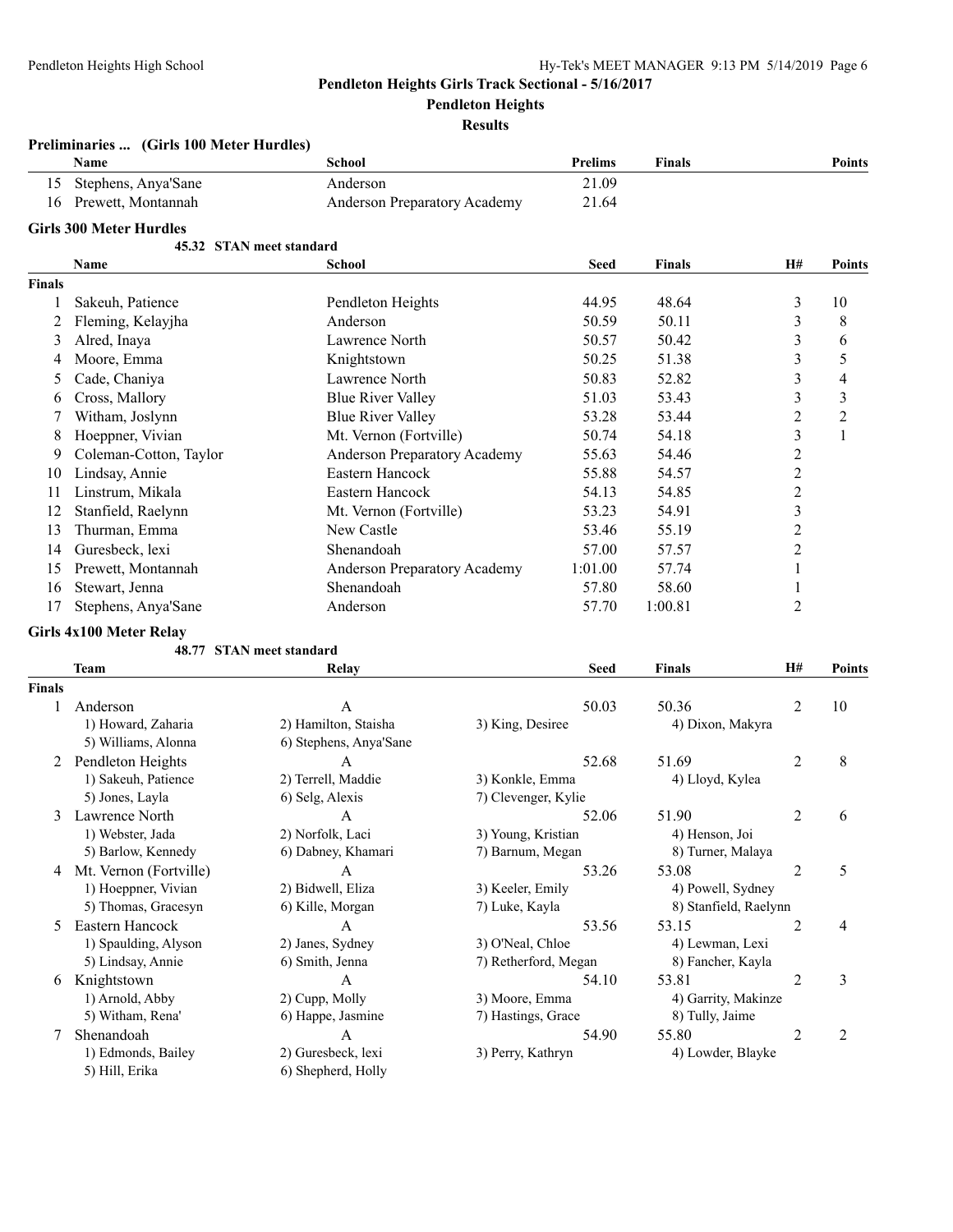# **Pendleton Heights**

# **Results**

### **Preliminaries ... (Girls 100 Meter Hurdles)**

| Name                   | School                       | Prelims | <b>Finals</b> | <b>Points</b> |
|------------------------|------------------------------|---------|---------------|---------------|
| 15 Stephens, Anya'Sane | Anderson                     | 21.09   |               |               |
| 16 Prewett, Montannah  | Anderson Preparatory Academy | 21.64   |               |               |

# **Girls 300 Meter Hurdles**

**45.32 STAN meet standard**

|        | Name                   | <b>School</b>                       | <b>Seed</b> | <b>Finals</b> | <b>H#</b>      | <b>Points</b>  |
|--------|------------------------|-------------------------------------|-------------|---------------|----------------|----------------|
| Finals |                        |                                     |             |               |                |                |
|        | Sakeuh, Patience       | Pendleton Heights                   | 44.95       | 48.64         | 3              | 10             |
|        | Fleming, Kelayjha      | Anderson                            | 50.59       | 50.11         | 3              | 8              |
| 3      | Alred, Inaya           | Lawrence North                      | 50.57       | 50.42         | 3              | 6              |
| 4      | Moore, Emma            | Knightstown                         | 50.25       | 51.38         | 3              | 5              |
| 5      | Cade, Chaniya          | Lawrence North                      | 50.83       | 52.82         | 3              | 4              |
| 6      | Cross, Mallory         | <b>Blue River Valley</b>            | 51.03       | 53.43         | 3              | 3              |
|        | Witham, Joslynn        | <b>Blue River Valley</b>            | 53.28       | 53.44         | 2              | $\overline{c}$ |
| 8      | Hoeppner, Vivian       | Mt. Vernon (Fortville)              | 50.74       | 54.18         | 3              |                |
| 9      | Coleman-Cotton, Taylor | <b>Anderson Preparatory Academy</b> | 55.63       | 54.46         | $\overline{c}$ |                |
| 10     | Lindsay, Annie         | Eastern Hancock                     | 55.88       | 54.57         | 2              |                |
| 11     | Linstrum, Mikala       | Eastern Hancock                     | 54.13       | 54.85         | 2              |                |
| 12     | Stanfield, Raelynn     | Mt. Vernon (Fortville)              | 53.23       | 54.91         | 3              |                |
| 13     | Thurman, Emma          | New Castle                          | 53.46       | 55.19         | 2              |                |
| 14     | Guresbeck, lexi        | Shenandoah                          | 57.00       | 57.57         | 2              |                |
| 15     | Prewett, Montannah     | Anderson Preparatory Academy        | 1:01.00     | 57.74         |                |                |
| 16     | Stewart, Jenna         | Shenandoah                          | 57.80       | 58.60         |                |                |
| 17     | Stephens, Anya'Sane    | Anderson                            | 57.70       | 1:00.81       | 2              |                |

**Girls 4x100 Meter Relay**

**48.77 STAN meet standard**

|               | <b>Team</b>            | <b>Relay</b>           | <b>Seed</b>          | <b>Finals</b>         | <b>H#</b>      | Points         |
|---------------|------------------------|------------------------|----------------------|-----------------------|----------------|----------------|
| <b>Finals</b> |                        |                        |                      |                       |                |                |
|               | Anderson               | A                      | 50.03                | 50.36                 | 2              | 10             |
|               | 1) Howard, Zaharia     | 2) Hamilton, Staisha   | 3) King, Desiree     | 4) Dixon, Makyra      |                |                |
|               | 5) Williams, Alonna    | 6) Stephens, Anya'Sane |                      |                       |                |                |
| 2             | Pendleton Heights      | A                      | 52.68                | 51.69                 | $\overline{2}$ | 8              |
|               | 1) Sakeuh, Patience    | 2) Terrell, Maddie     | 3) Konkle, Emma      | 4) Lloyd, Kylea       |                |                |
|               | 5) Jones, Layla        | 6) Selg, Alexis        | 7) Clevenger, Kylie  |                       |                |                |
| 3             | Lawrence North         | A                      | 52.06                | 51.90                 | $\overline{2}$ | 6              |
|               | 1) Webster, Jada       | 2) Norfolk, Laci       | 3) Young, Kristian   | 4) Henson, Joi        |                |                |
|               | 5) Barlow, Kennedy     | 6) Dabney, Khamari     | 7) Barnum, Megan     | 8) Turner, Malaya     |                |                |
| 4             | Mt. Vernon (Fortville) | A                      | 53.26                | 53.08                 | 2              | 5              |
|               | 1) Hoeppner, Vivian    | 2) Bidwell, Eliza      | 3) Keeler, Emily     | 4) Powell, Sydney     |                |                |
|               | 5) Thomas, Gracesyn    | 6) Kille, Morgan       | 7) Luke, Kayla       | 8) Stanfield, Raelynn |                |                |
| 5             | Eastern Hancock        | A                      | 53.56                | 53.15                 | $\overline{2}$ | $\overline{4}$ |
|               | 1) Spaulding, Alyson   | 2) Janes, Sydney       | 3) O'Neal, Chloe     | 4) Lewman, Lexi       |                |                |
|               | 5) Lindsay, Annie      | 6) Smith, Jenna        | 7) Retherford, Megan | 8) Fancher, Kayla     |                |                |
| 6             | Knightstown            | A                      | 54.10                | 53.81                 | $\overline{2}$ | 3              |
|               | 1) Arnold, Abby        | 2) Cupp, Molly         | 3) Moore, Emma       | 4) Garrity, Makinze   |                |                |
|               | 5) Witham, Rena'       | 6) Happe, Jasmine      | 7) Hastings, Grace   | 8) Tully, Jaime       |                |                |
|               | Shenandoah             | A                      | 54.90                | 55.80                 | 2              | 2              |
|               | 1) Edmonds, Bailey     | 2) Guresbeck, lexi     | 3) Perry, Kathryn    | 4) Lowder, Blayke     |                |                |
|               | 5) Hill, Erika         | 6) Shepherd, Holly     |                      |                       |                |                |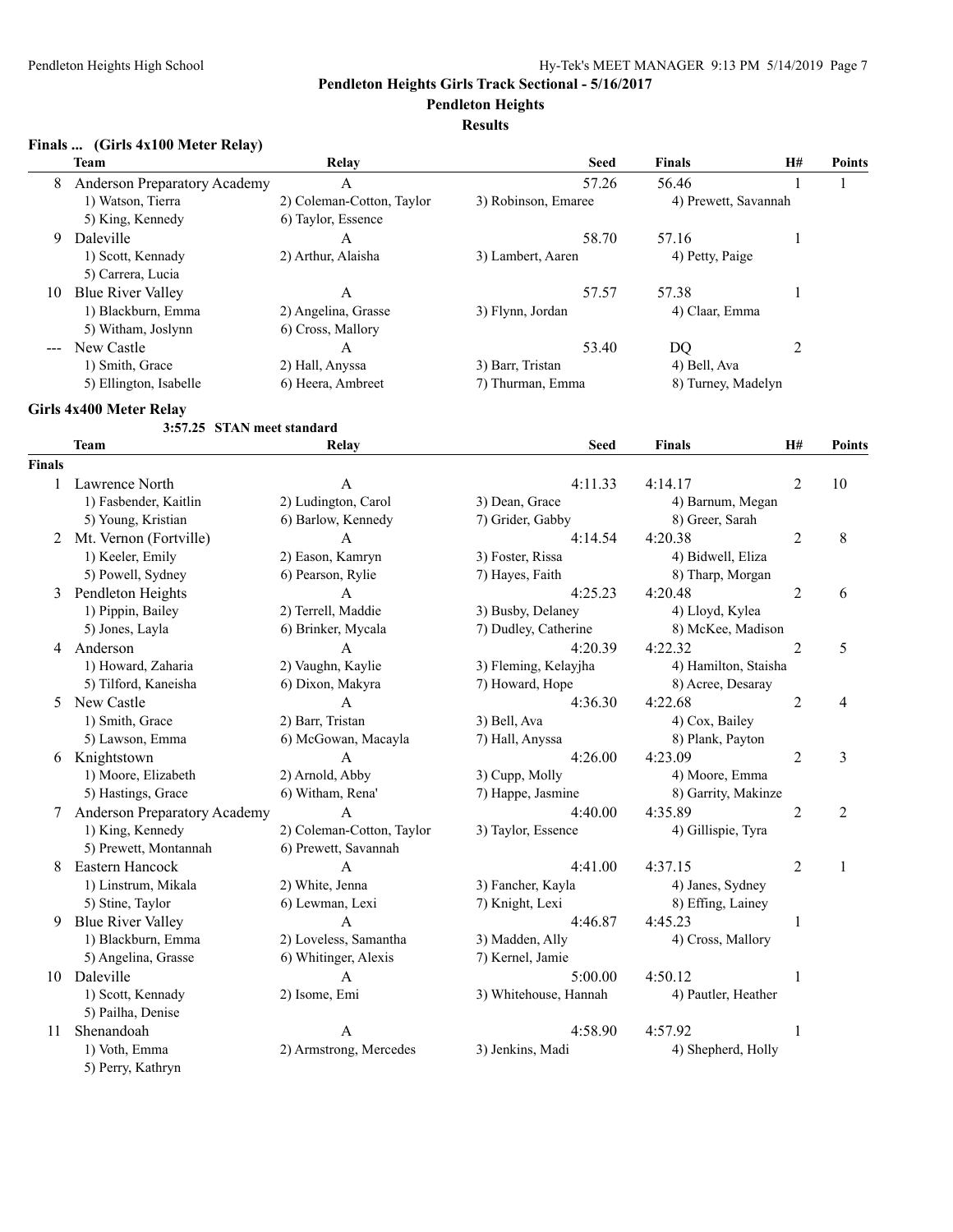# **Pendleton Heights**

# **Results**

| Finals  (Girls 4x100 Meter Relay) |  |  |  |  |
|-----------------------------------|--|--|--|--|
|-----------------------------------|--|--|--|--|

|               | <b>Team</b>                  | Relay                     | <b>Seed</b>           | <b>Finals</b>        | H#             | Points         |
|---------------|------------------------------|---------------------------|-----------------------|----------------------|----------------|----------------|
| 8             | Anderson Preparatory Academy | A                         | 57.26                 | 56.46                |                | 1              |
|               | 1) Watson, Tierra            | 2) Coleman-Cotton, Taylor | 3) Robinson, Emaree   | 4) Prewett, Savannah |                |                |
|               | 5) King, Kennedy             | 6) Taylor, Essence        |                       |                      |                |                |
| 9             | Daleville                    | A                         | 58.70                 | 57.16                | 1              |                |
|               | 1) Scott, Kennady            | 2) Arthur, Alaisha        | 3) Lambert, Aaren     | 4) Petty, Paige      |                |                |
|               | 5) Carrera, Lucia            |                           |                       |                      |                |                |
|               | 10 Blue River Valley         | A                         | 57.57                 | 57.38                | 1              |                |
|               | 1) Blackburn, Emma           | 2) Angelina, Grasse       | 3) Flynn, Jordan      | 4) Claar, Emma       |                |                |
|               | 5) Witham, Joslynn           | 6) Cross, Mallory         |                       |                      |                |                |
|               | New Castle                   | $\overline{A}$            | 53.40                 | DQ                   | 2              |                |
|               | 1) Smith, Grace              | 2) Hall, Anyssa           | 3) Barr, Tristan      | 4) Bell, Ava         |                |                |
|               |                              | 6) Heera, Ambreet         | 7) Thurman, Emma      | 8) Turney, Madelyn   |                |                |
|               | 5) Ellington, Isabelle       |                           |                       |                      |                |                |
|               | Girls 4x400 Meter Relay      |                           |                       |                      |                |                |
|               | 3:57.25 STAN meet standard   |                           |                       |                      |                |                |
|               | Team                         | Relay                     | <b>Seed</b>           | <b>Finals</b>        | H#             | <b>Points</b>  |
| <b>Finals</b> |                              |                           |                       |                      |                |                |
| 1             | Lawrence North               | A                         | 4:11.33               | 4:14.17              | $\overline{c}$ | 10             |
|               | 1) Fasbender, Kaitlin        | 2) Ludington, Carol       | 3) Dean, Grace        | 4) Barnum, Megan     |                |                |
|               | 5) Young, Kristian           | 6) Barlow, Kennedy        | 7) Grider, Gabby      | 8) Greer, Sarah      |                |                |
|               | 2 Mt. Vernon (Fortville)     | A                         | 4:14.54               | 4:20.38              | 2              | 8              |
|               | 1) Keeler, Emily             | 2) Eason, Kamryn          | 3) Foster, Rissa      | 4) Bidwell, Eliza    |                |                |
|               | 5) Powell, Sydney            | 6) Pearson, Rylie         | 7) Hayes, Faith       | 8) Tharp, Morgan     |                |                |
| 3             | Pendleton Heights            | A                         | 4:25.23               | 4:20.48              | $\overline{2}$ | 6              |
|               | 1) Pippin, Bailey            | 2) Terrell, Maddie        | 3) Busby, Delaney     | 4) Lloyd, Kylea      |                |                |
|               | 5) Jones, Layla              | 6) Brinker, Mycala        | 7) Dudley, Catherine  | 8) McKee, Madison    |                |                |
| 4             | Anderson                     | A                         | 4:20.39               | 4:22.32              | $\overline{2}$ | 5              |
|               | 1) Howard, Zaharia           | 2) Vaughn, Kaylie         | 3) Fleming, Kelayjha  | 4) Hamilton, Staisha |                |                |
|               | 5) Tilford, Kaneisha         | 6) Dixon, Makyra          | 7) Howard, Hope       | 8) Acree, Desaray    |                |                |
| 5             | New Castle                   | A                         | 4:36.30               | 4:22.68              | 2              | 4              |
|               | 1) Smith, Grace              | 2) Barr, Tristan          | 3) Bell, Ava          | 4) Cox, Bailey       |                |                |
|               | 5) Lawson, Emma              | 6) McGowan, Macayla       | 7) Hall, Anyssa       | 8) Plank, Payton     |                |                |
| 6             | Knightstown                  | A                         | 4:26.00               | 4:23.09              | $\overline{2}$ | 3              |
|               | 1) Moore, Elizabeth          | 2) Arnold, Abby           | 3) Cupp, Molly        | 4) Moore, Emma       |                |                |
|               | 5) Hastings, Grace           | 6) Witham, Rena'          | 7) Happe, Jasmine     | 8) Garrity, Makinze  |                |                |
| 7             | Anderson Preparatory Academy | A                         | 4:40.00               | 4:35.89              | $\overline{2}$ | $\overline{c}$ |
|               | 1) King, Kennedy             | 2) Coleman-Cotton, Taylor | 3) Taylor, Essence    | 4) Gillispie, Tyra   |                |                |
|               | 5) Prewett, Montannah        | 6) Prewett, Savannah      |                       |                      |                |                |
| 8             | Eastern Hancock              | A                         | 4:41.00               | 4:37.15              | $\overline{c}$ | 1              |
|               | 1) Linstrum, Mikala          | 2) White, Jenna           | 3) Fancher, Kayla     | 4) Janes, Sydney     |                |                |
|               |                              |                           |                       | 8) Effing, Lainey    |                |                |
|               | 5) Stine, Taylor             | 6) Lewman, Lexi           | 7) Knight, Lexi       |                      |                |                |
| 9             | <b>Blue River Valley</b>     | A                         | 4:46.87               | 4:45.23              | 1              |                |
|               | 1) Blackburn, Emma           | 2) Loveless, Samantha     | 3) Madden, Ally       | 4) Cross, Mallory    |                |                |
|               | 5) Angelina, Grasse          | 6) Whitinger, Alexis      | 7) Kernel, Jamie      |                      |                |                |
| 10            | Daleville                    | A                         | 5:00.00               | 4:50.12              | 1              |                |
|               | 1) Scott, Kennady            | 2) Isome, Emi             | 3) Whitehouse, Hannah | 4) Pautler, Heather  |                |                |
|               | 5) Pailha, Denise            |                           |                       |                      |                |                |
| 11.           | Shenandoah                   | A                         | 4:58.90               | 4:57.92              | 1              |                |
|               | 1) Voth, Emma                | 2) Armstrong, Mercedes    | 3) Jenkins, Madi      | 4) Shepherd, Holly   |                |                |
|               | 5) Perry, Kathryn            |                           |                       |                      |                |                |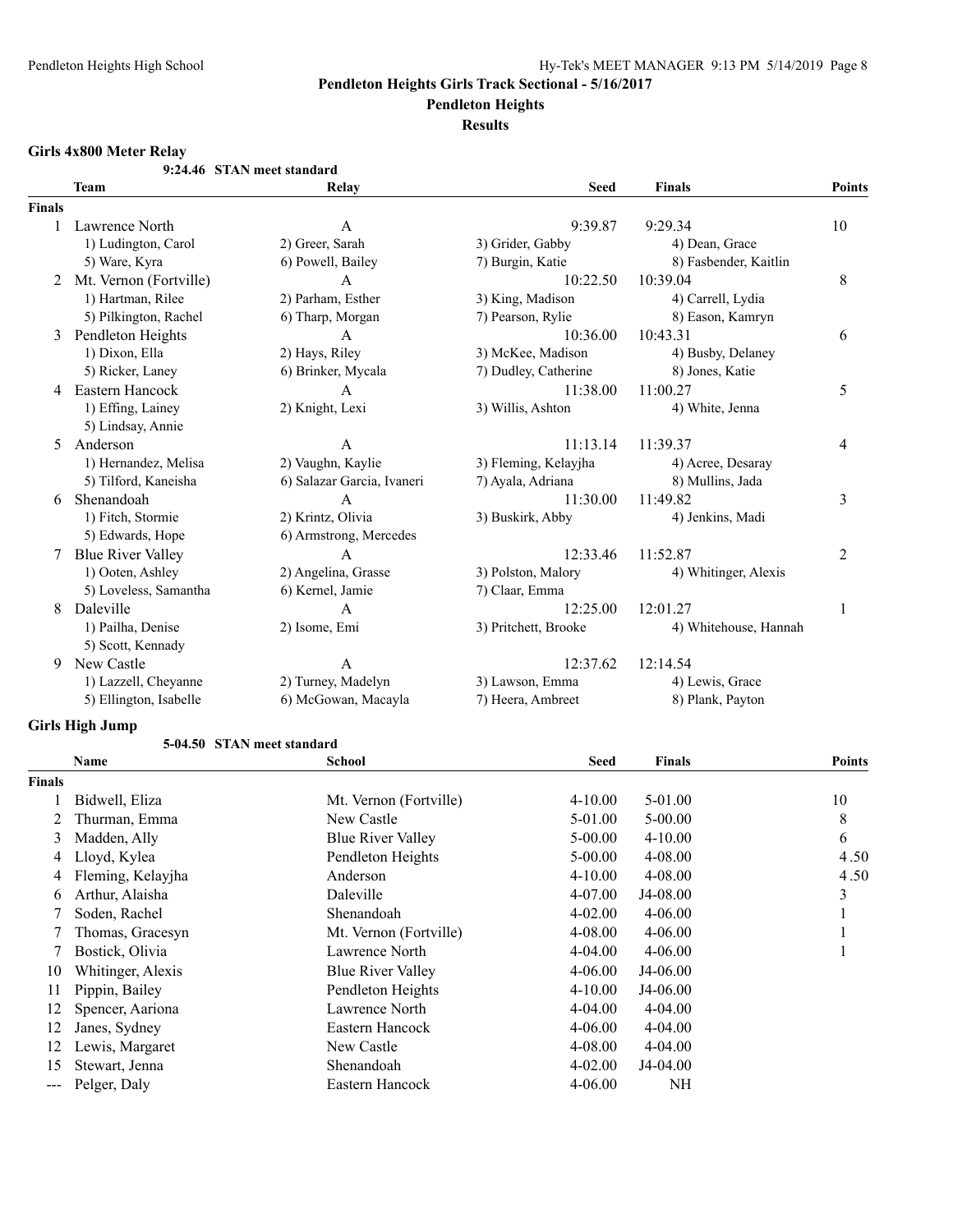# **Pendleton Heights**

#### **Results**

#### **Girls 4x800 Meter Relay**

|               |                          | 9:24.46 STAN meet standard |                      |                       |                |
|---------------|--------------------------|----------------------------|----------------------|-----------------------|----------------|
|               | <b>Team</b>              | Relay                      | <b>Seed</b>          | <b>Finals</b>         | <b>Points</b>  |
| <b>Finals</b> |                          |                            |                      |                       |                |
|               | Lawrence North           | A                          | 9:39.87              | 9:29.34               | 10             |
|               | 1) Ludington, Carol      | 2) Greer, Sarah            | 3) Grider, Gabby     | 4) Dean, Grace        |                |
|               | 5) Ware, Kyra            | 6) Powell, Bailey          | 7) Burgin, Katie     | 8) Fasbender, Kaitlin |                |
| 2             | Mt. Vernon (Fortville)   | A                          | 10:22.50             | 10:39.04              | 8              |
|               | 1) Hartman, Rilee        | 2) Parham, Esther          | 3) King, Madison     | 4) Carrell, Lydia     |                |
|               | 5) Pilkington, Rachel    | 6) Tharp, Morgan           | 7) Pearson, Rylie    | 8) Eason, Kamryn      |                |
| 3             | Pendleton Heights        | A                          | 10:36.00             | 10:43.31              | 6              |
|               | 1) Dixon, Ella           | 2) Hays, Riley             | 3) McKee, Madison    | 4) Busby, Delaney     |                |
|               | 5) Ricker, Laney         | 6) Brinker, Mycala         | 7) Dudley, Catherine | 8) Jones, Katie       |                |
| 4             | Eastern Hancock          | A                          | 11:38.00             | 11:00.27              | 5              |
|               | 1) Effing, Lainey        | 2) Knight, Lexi            | 3) Willis, Ashton    | 4) White, Jenna       |                |
|               | 5) Lindsay, Annie        |                            |                      |                       |                |
| 5             | Anderson                 | A                          | 11:13.14             | 11:39.37              | 4              |
|               | 1) Hernandez, Melisa     | 2) Vaughn, Kaylie          | 3) Fleming, Kelayjha | 4) Acree, Desaray     |                |
|               | 5) Tilford, Kaneisha     | 6) Salazar Garcia, Ivaneri | 7) Ayala, Adriana    | 8) Mullins, Jada      |                |
| 6             | Shenandoah               | A                          | 11:30.00             | 11:49.82              | 3              |
|               | 1) Fitch, Stormie        | 2) Krintz, Olivia          | 3) Buskirk, Abby     | 4) Jenkins, Madi      |                |
|               | 5) Edwards, Hope         | 6) Armstrong, Mercedes     |                      |                       |                |
| 7             | <b>Blue River Valley</b> | A                          | 12:33.46             | 11:52.87              | $\overline{2}$ |
|               | 1) Ooten, Ashley         | 2) Angelina, Grasse        | 3) Polston, Malory   | 4) Whitinger, Alexis  |                |
|               | 5) Loveless, Samantha    | 6) Kernel, Jamie           | 7) Claar, Emma       |                       |                |
| 8             | Daleville                | A                          | 12:25.00             | 12:01.27              |                |
|               | 1) Pailha, Denise        | 2) Isome, Emi              | 3) Pritchett, Brooke | 4) Whitehouse, Hannah |                |
|               | 5) Scott, Kennady        |                            |                      |                       |                |
| 9             | New Castle               | A                          | 12:37.62             | 12:14.54              |                |
|               | 1) Lazzell, Cheyanne     | 2) Turney, Madelyn         | 3) Lawson, Emma      | 4) Lewis, Grace       |                |
|               | 5) Ellington, Isabelle   | 6) McGowan, Macayla        | 7) Heera, Ambreet    | 8) Plank, Payton      |                |
|               |                          |                            |                      |                       |                |

# **Girls High Jump**

# **5-04.50 STAN meet standard**

|                   | Name              | <b>School</b>            | <b>Seed</b> | <b>Finals</b> | <b>Points</b> |
|-------------------|-------------------|--------------------------|-------------|---------------|---------------|
| <b>Finals</b>     |                   |                          |             |               |               |
|                   | Bidwell, Eliza    | Mt. Vernon (Fortville)   | $4 - 10.00$ | 5-01.00       | 10            |
|                   | Thurman, Emma     | New Castle               | 5-01.00     | $5 - 00.00$   | 8             |
| 3                 | Madden, Ally      | <b>Blue River Valley</b> | $5 - 00.00$ | $4 - 10.00$   | 6             |
| 4                 | Lloyd, Kylea      | Pendleton Heights        | $5 - 00.00$ | $4 - 08.00$   | 4.50          |
| 4                 | Fleming, Kelayjha | Anderson                 | $4 - 10.00$ | $4 - 08.00$   | 4.50          |
| 6                 | Arthur, Alaisha   | Daleville                | 4-07.00     | J4-08.00      | 3             |
|                   | Soden, Rachel     | Shenandoah               | $4 - 02.00$ | $4 - 06.00$   |               |
|                   | Thomas, Gracesyn  | Mt. Vernon (Fortville)   | 4-08.00     | $4 - 06.00$   |               |
|                   | Bostick, Olivia   | Lawrence North           | $4 - 04.00$ | $4 - 06.00$   |               |
| 10                | Whitinger, Alexis | <b>Blue River Valley</b> | $4 - 06.00$ | $J4-06.00$    |               |
| 11                | Pippin, Bailey    | Pendleton Heights        | $4 - 10.00$ | J4-06.00      |               |
| 12                | Spencer, Aariona  | Lawrence North           | $4 - 04.00$ | $4 - 04.00$   |               |
| 12                | Janes, Sydney     | Eastern Hancock          | $4 - 06.00$ | $4 - 04.00$   |               |
| 12                | Lewis, Margaret   | New Castle               | 4-08.00     | $4 - 04.00$   |               |
| 15                | Stewart, Jenna    | Shenandoah               | $4 - 02.00$ | J4-04.00      |               |
| $\qquad \qquad -$ | Pelger, Daly      | Eastern Hancock          | $4 - 06.00$ | NH            |               |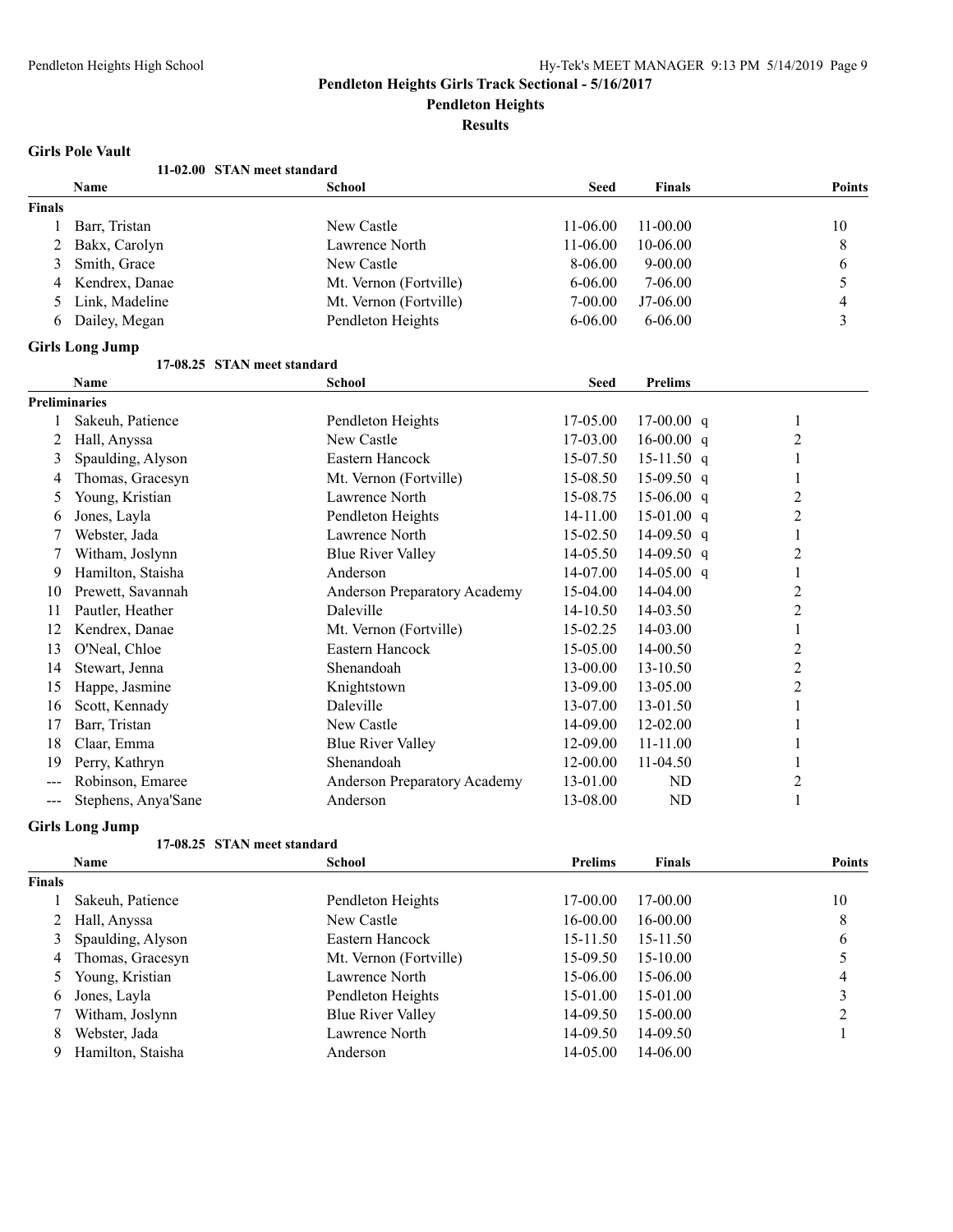**Pendleton Heights**

**Results**

# **Girls Pole Vault**

|               | 11-02.00 STAN meet standard                           |                              |             |                |                |
|---------------|-------------------------------------------------------|------------------------------|-------------|----------------|----------------|
|               | Name                                                  | School                       | <b>Seed</b> | <b>Finals</b>  | Points         |
| <b>Finals</b> |                                                       |                              |             |                |                |
| 1             | Barr, Tristan                                         | New Castle                   | 11-06.00    | 11-00.00       | 10             |
| 2             | Bakx, Carolyn                                         | Lawrence North               | 11-06.00    | 10-06.00       | 8              |
| 3             | Smith, Grace                                          | New Castle                   | 8-06.00     | $9 - 00.00$    | 6              |
| 4             | Kendrex, Danae                                        | Mt. Vernon (Fortville)       | 6-06.00     | 7-06.00        | 5              |
| 5             | Link, Madeline                                        | Mt. Vernon (Fortville)       | 7-00.00     | J7-06.00       | 4              |
| 6             | Dailey, Megan                                         | Pendleton Heights            | 6-06.00     | 6-06.00        | 3              |
|               | <b>Girls Long Jump</b>                                |                              |             |                |                |
|               | 17-08.25 STAN meet standard                           |                              |             |                |                |
|               | Name                                                  | School                       | <b>Seed</b> | <b>Prelims</b> |                |
|               | <b>Preliminaries</b>                                  |                              |             |                |                |
| 1             | Sakeuh, Patience                                      | Pendleton Heights            | 17-05.00    | $17-00.00$ q   | 1              |
| 2             | Hall, Anyssa                                          | New Castle                   | 17-03.00    | $16-00.00$ q   | 2              |
| 3             | Spaulding, Alyson                                     | Eastern Hancock              | 15-07.50    | $15-11.50$ q   | 1              |
| 4             | Thomas, Gracesyn                                      | Mt. Vernon (Fortville)       | 15-08.50    | 15-09.50 q     | 1              |
| 5             | Young, Kristian                                       | Lawrence North               | 15-08.75    | $15-06.00$ q   | 2              |
| 6             | Jones, Layla                                          | Pendleton Heights            | 14-11.00    | $15-01.00$ q   | 2              |
| 7             | Webster, Jada                                         | Lawrence North               | 15-02.50    | 14-09.50 $q$   | 1              |
| 7             | Witham, Joslynn                                       | <b>Blue River Valley</b>     | 14-05.50    | 14-09.50 q     | 2              |
| 9             | Hamilton, Staisha                                     | Anderson                     | 14-07.00    | $14-05.00$ q   | 1              |
| 10            | Prewett, Savannah                                     | Anderson Preparatory Academy | 15-04.00    | 14-04.00       | $\overline{c}$ |
| 11            | Pautler, Heather                                      | Daleville                    | 14-10.50    | 14-03.50       | 2              |
| 12            | Kendrex, Danae                                        | Mt. Vernon (Fortville)       | 15-02.25    | 14-03.00       | $\mathbf{1}$   |
| 13            | O'Neal, Chloe                                         | Eastern Hancock              | 15-05.00    | 14-00.50       | $\overline{c}$ |
| 14            | Stewart, Jenna                                        | Shenandoah                   | 13-00.00    | 13-10.50       | $\overline{c}$ |
| 15            | Happe, Jasmine                                        | Knightstown                  | 13-09.00    | 13-05.00       | 2              |
| 16            | Scott, Kennady                                        | Daleville                    | 13-07.00    | 13-01.50       | 1              |
| 17            | Barr, Tristan                                         | New Castle                   | 14-09.00    | 12-02.00       | 1              |
| 18            | Claar, Emma                                           | <b>Blue River Valley</b>     | 12-09.00    | $11 - 11.00$   | 1              |
| 19            | Perry, Kathryn                                        | Shenandoah                   | 12-00.00    | 11-04.50       | 1              |
| $---$         | Robinson, Emaree                                      | Anderson Preparatory Academy | 13-01.00    | <b>ND</b>      | 2              |
| $--$          | Stephens, Anya'Sane                                   | Anderson                     | 13-08.00    | <b>ND</b>      | 1              |
|               | <b>Girls Long Jump</b><br>17-08.25 STAN meet standard |                              |             |                |                |

|        | <b>Name</b>         | <b>School</b>            | <b>Prelims</b> | <b>Finals</b> | <b>Points</b> |
|--------|---------------------|--------------------------|----------------|---------------|---------------|
| Finals |                     |                          |                |               |               |
|        | Sakeuh, Patience    | Pendleton Heights        | 17-00.00       | 17-00.00      | 10            |
|        | Hall, Anyssa        | New Castle               | $16 - 00.00$   | $16 - 00.00$  | 8             |
|        | 3 Spaulding, Alyson | Eastern Hancock          | 15-11.50       | 15-11.50      | 6             |
| 4      | Thomas, Gracesyn    | Mt. Vernon (Fortville)   | 15-09.50       | $15 - 10.00$  |               |
|        | Young, Kristian     | Lawrence North           | 15-06.00       | 15-06.00      | 4             |
| 6      | Jones, Layla        | Pendleton Heights        | 15-01.00       | $15-01.00$    |               |
|        | Witham, Joslynn     | <b>Blue River Valley</b> | 14-09.50       | 15-00.00      | ∍             |
| 8      | Webster, Jada       | Lawrence North           | 14-09.50       | 14-09.50      |               |
| 9      | Hamilton, Staisha   | Anderson                 | 14-05.00       | 14-06.00      |               |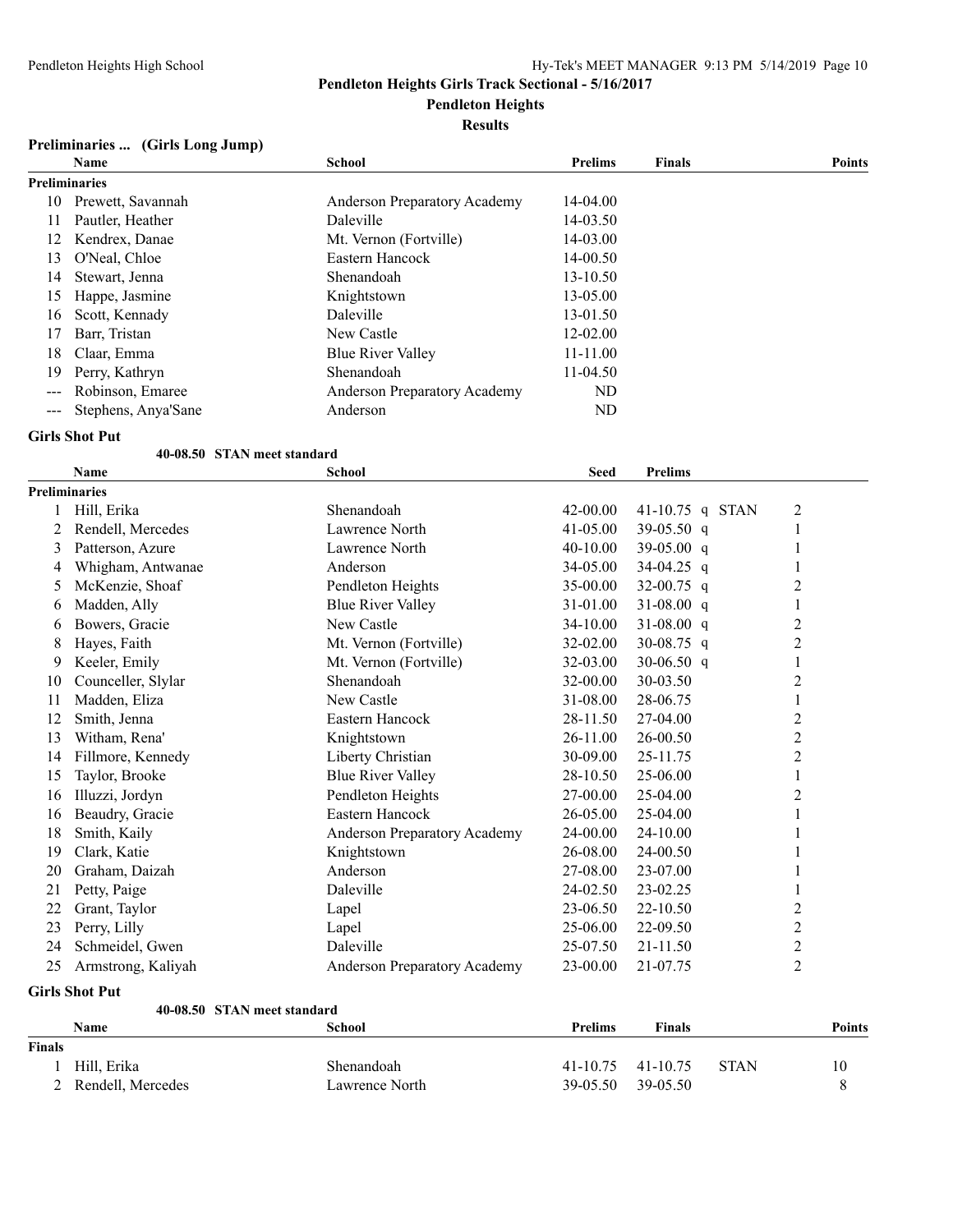# **Pendleton Heights**

**Results**

# **Preliminaries ... (Girls Long Jump)**

|    | Name                 | <b>School</b>                | <b>Prelims</b> | <b>Finals</b> | <b>Points</b> |
|----|----------------------|------------------------------|----------------|---------------|---------------|
|    | <b>Preliminaries</b> |                              |                |               |               |
| 10 | Prewett, Savannah    | Anderson Preparatory Academy | 14-04.00       |               |               |
| 11 | Pautler, Heather     | <b>Daleville</b>             | 14-03.50       |               |               |
| 12 | Kendrex, Danae       | Mt. Vernon (Fortville)       | 14-03.00       |               |               |
| 13 | O'Neal, Chloe        | Eastern Hancock              | 14-00.50       |               |               |
| 14 | Stewart, Jenna       | Shenandoah                   | 13-10.50       |               |               |
| 15 | Happe, Jasmine       | Knightstown                  | 13-05.00       |               |               |
| 16 | Scott, Kennady       | Daleville                    | 13-01.50       |               |               |
| 17 | Barr, Tristan        | New Castle                   | $12 - 02.00$   |               |               |
| 18 | Claar, Emma          | Blue River Valley            | $11 - 11.00$   |               |               |
| 19 | Perry, Kathryn       | Shenandoah                   | 11-04.50       |               |               |
|    | Robinson, Emaree     | Anderson Preparatory Academy | ND             |               |               |
|    | Stephens, Anya'Sane  | Anderson                     | ND             |               |               |

### **Girls Shot Put**

| 40-08.50 STAN meet standard |  |  |
|-----------------------------|--|--|
|                             |  |  |

|    | <b>Name</b>                 | <b>School</b>                | <b>Seed</b>  | <b>Prelims</b>  |                         |  |  |
|----|-----------------------------|------------------------------|--------------|-----------------|-------------------------|--|--|
|    | <b>Preliminaries</b>        |                              |              |                 |                         |  |  |
|    | Hill, Erika                 | Shenandoah                   | 42-00.00     | 41-10.75 q STAN | $\boldsymbol{2}$        |  |  |
| 2  | Rendell, Mercedes           | Lawrence North               | 41-05.00     | 39-05.50 q      | 1                       |  |  |
| 3  | Patterson, Azure            | Lawrence North               | $40 - 10.00$ | $39-05.00$ q    | 1                       |  |  |
| 4  | Whigham, Antwanae           | Anderson                     | 34-05.00     | 34-04.25 q      | 1                       |  |  |
| 5  | McKenzie, Shoaf             | Pendleton Heights            | 35-00.00     | $32-00.75$ q    | 2                       |  |  |
| 6  | Madden, Ally                | <b>Blue River Valley</b>     | 31-01.00     | $31 - 08.00$ q  | 1                       |  |  |
| 6  | Bowers, Gracie              | New Castle                   | 34-10.00     | $31 - 08.00$ q  | 2                       |  |  |
| 8  | Hayes, Faith                | Mt. Vernon (Fortville)       | 32-02.00     | 30-08.75 q      | $\overline{\mathbf{c}}$ |  |  |
| 9  | Keeler, Emily               | Mt. Vernon (Fortville)       | 32-03.00     | $30 - 06.50$ q  | 1                       |  |  |
| 10 | Counceller, Slylar          | Shenandoah                   | 32-00.00     | 30-03.50        | $\overline{2}$          |  |  |
| 11 | Madden, Eliza               | New Castle                   | 31-08.00     | 28-06.75        | $\mathbf{1}$            |  |  |
| 12 | Smith, Jenna                | Eastern Hancock              | 28-11.50     | 27-04.00        | $\overline{c}$          |  |  |
| 13 | Witham, Rena'               | Knightstown                  | 26-11.00     | 26-00.50        | $\overline{c}$          |  |  |
| 14 | Fillmore, Kennedy           | Liberty Christian            | 30-09.00     | 25-11.75        | $\overline{c}$          |  |  |
| 15 | Taylor, Brooke              | <b>Blue River Valley</b>     | 28-10.50     | 25-06.00        | $\mathbf{1}$            |  |  |
| 16 | Illuzzi, Jordyn             | Pendleton Heights            | 27-00.00     | 25-04.00        | $\mathfrak{2}$          |  |  |
| 16 | Beaudry, Gracie             | Eastern Hancock              | 26-05.00     | 25-04.00        | 1                       |  |  |
| 18 | Smith, Kaily                | Anderson Preparatory Academy | 24-00.00     | 24-10.00        |                         |  |  |
| 19 | Clark, Katie                | Knightstown                  | 26-08.00     | 24-00.50        | 1                       |  |  |
| 20 | Graham, Daizah              | Anderson                     | 27-08.00     | 23-07.00        |                         |  |  |
| 21 | Petty, Paige                | Daleville                    | 24-02.50     | 23-02.25        | 1                       |  |  |
| 22 | Grant, Taylor               | Lapel                        | 23-06.50     | 22-10.50        | $\boldsymbol{2}$        |  |  |
| 23 | Perry, Lilly                | Lapel                        | 25-06.00     | 22-09.50        | $\overline{c}$          |  |  |
| 24 | Schmeidel, Gwen             | Daleville                    | 25-07.50     | 21-11.50        | $\overline{\mathbf{c}}$ |  |  |
| 25 | Armstrong, Kaliyah          | Anderson Preparatory Academy | 23-00.00     | 21-07.75        | $\overline{2}$          |  |  |
|    | <b>Girls Shot Put</b>       |                              |              |                 |                         |  |  |
|    | 40-08.50 STAN meet standard |                              |              |                 |                         |  |  |

|               | Name              | School         | <b>Prelims</b>        | <b>Finals</b> |             | Points |
|---------------|-------------------|----------------|-----------------------|---------------|-------------|--------|
| <b>Finals</b> |                   |                |                       |               |             |        |
|               | Hill, Erika       | Shenandoah     | $41-10.75$ $41-10.75$ |               | <b>STAN</b> | 10     |
|               | Rendell, Mercedes | Lawrence North | 39-05.50              | 39-05.50      |             |        |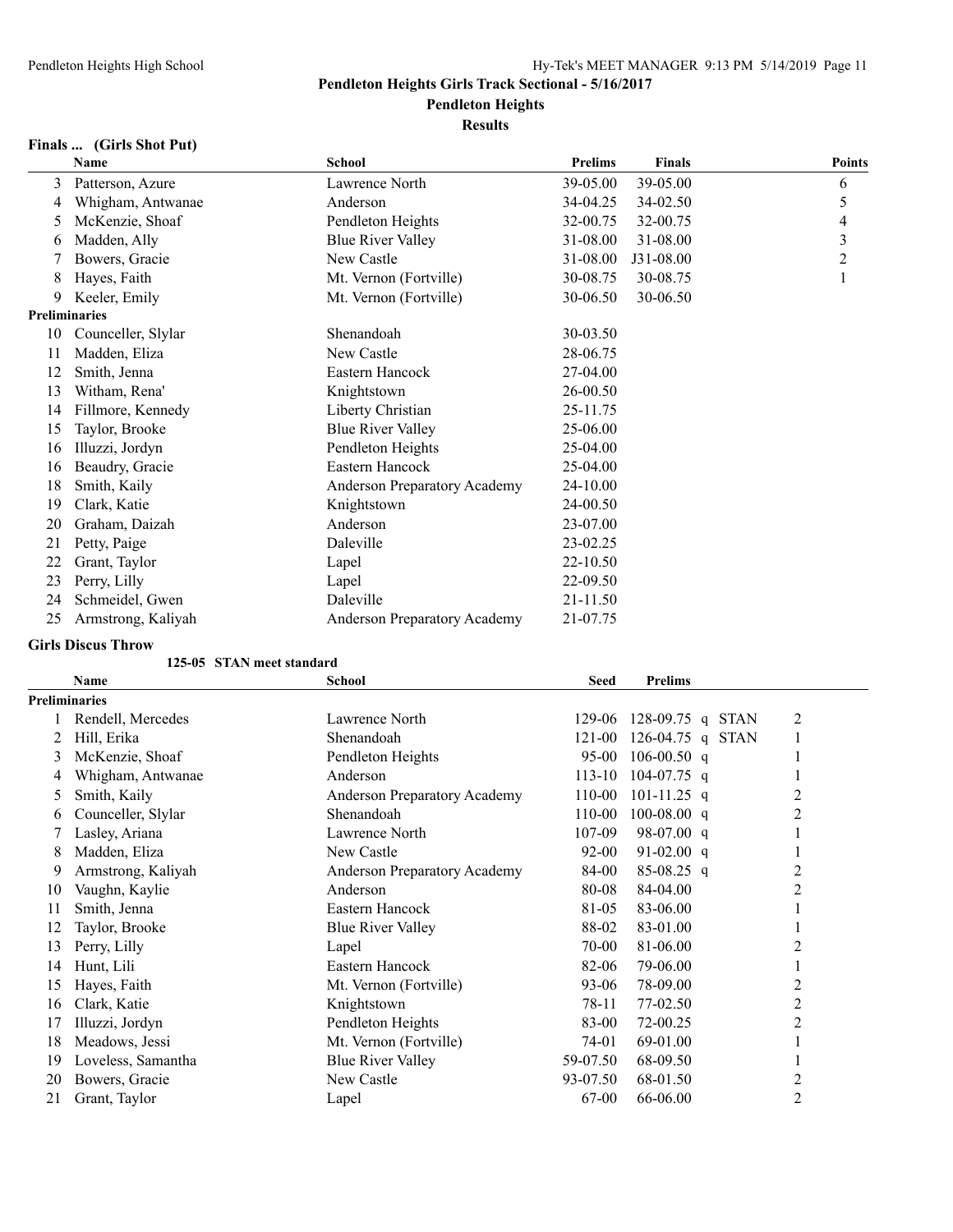### **Pendleton Heights**

### **Results**

# **Finals ... (Girls Shot Put)**

|                      | Name               | <b>School</b>                       | <b>Prelims</b> | <b>Finals</b> | <b>Points</b>           |
|----------------------|--------------------|-------------------------------------|----------------|---------------|-------------------------|
| 3                    | Patterson, Azure   | Lawrence North                      | 39-05.00       | 39-05.00      | 6                       |
| 4                    | Whigham, Antwanae  | Anderson                            | 34-04.25       | 34-02.50      | 5                       |
| 5                    | McKenzie, Shoaf    | Pendleton Heights                   | 32-00.75       | 32-00.75      | 4                       |
| 6                    | Madden, Ally       | <b>Blue River Valley</b>            | 31-08.00       | 31-08.00      | $\overline{\mathbf{3}}$ |
|                      | Bowers, Gracie     | New Castle                          | 31-08.00       | J31-08.00     | $\overline{2}$          |
| 8                    | Hayes, Faith       | Mt. Vernon (Fortville)              | 30-08.75       | 30-08.75      | 1                       |
| 9                    | Keeler, Emily      | Mt. Vernon (Fortville)              | 30-06.50       | 30-06.50      |                         |
| <b>Preliminaries</b> |                    |                                     |                |               |                         |
| 10                   | Counceller, Slylar | Shenandoah                          | 30-03.50       |               |                         |
| 11                   | Madden, Eliza      | New Castle                          | 28-06.75       |               |                         |
| 12                   | Smith, Jenna       | Eastern Hancock                     | 27-04.00       |               |                         |
| 13                   | Witham, Rena'      | Knightstown                         | 26-00.50       |               |                         |
| 14                   | Fillmore, Kennedy  | Liberty Christian                   | 25-11.75       |               |                         |
| 15                   | Taylor, Brooke     | <b>Blue River Valley</b>            | 25-06.00       |               |                         |
| 16                   | Illuzzi, Jordyn    | Pendleton Heights                   | 25-04.00       |               |                         |
| 16                   | Beaudry, Gracie    | Eastern Hancock                     | 25-04.00       |               |                         |
| 18                   | Smith, Kaily       | Anderson Preparatory Academy        | 24-10.00       |               |                         |
| 19                   | Clark, Katie       | Knightstown                         | 24-00.50       |               |                         |
| 20                   | Graham, Daizah     | Anderson                            | 23-07.00       |               |                         |
| 21                   | Petty, Paige       | Daleville                           | 23-02.25       |               |                         |
| 22                   | Grant, Taylor      | Lapel                               | 22-10.50       |               |                         |
| 23                   | Perry, Lilly       | Lapel                               | 22-09.50       |               |                         |
| 24                   | Schmeidel, Gwen    | Daleville                           | 21-11.50       |               |                         |
| 25                   | Armstrong, Kaliyah | <b>Anderson Preparatory Academy</b> | 21-07.75       |               |                         |
|                      |                    |                                     |                |               |                         |

### **Girls Discus Throw**

### **125-05 STAN meet standard**

|    | Name                 | <b>School</b>                       | <b>Seed</b> | <b>Prelims</b>   |                |
|----|----------------------|-------------------------------------|-------------|------------------|----------------|
|    | <b>Preliminaries</b> |                                     |             |                  |                |
|    | Rendell, Mercedes    | Lawrence North                      | 129-06      | 128-09.75 q STAN | 2              |
| 2  | Hill, Erika          | Shenandoah                          | 121-00      | 126-04.75 q STAN |                |
| 3  | McKenzie, Shoaf      | Pendleton Heights                   | $95-00$     | $106 - 00.50$ q  |                |
|    | Whigham, Antwanae    | Anderson                            | $113 - 10$  | $104 - 07.75$ q  |                |
| 5. | Smith, Kaily         | Anderson Preparatory Academy        | 110-00      | 101-11.25 q      | 2              |
| 6  | Counceller, Slylar   | Shenandoah                          | 110-00      | $100 - 08.00$ q  | 2              |
|    | Lasley, Ariana       | Lawrence North                      | 107-09      | 98-07.00 $q$     |                |
| 8  | Madden, Eliza        | New Castle                          | $92 - 00$   | 91-02.00 $q$     |                |
| 9  | Armstrong, Kaliyah   | <b>Anderson Preparatory Academy</b> | 84-00       | $85-08.25$ q     | 2              |
| 10 | Vaughn, Kaylie       | Anderson                            | 80-08       | 84-04.00         | 2              |
| 11 | Smith, Jenna         | Eastern Hancock                     | 81-05       | 83-06.00         |                |
| 12 | Taylor, Brooke       | <b>Blue River Valley</b>            | 88-02       | 83-01.00         |                |
| 13 | Perry, Lilly         | Lapel                               | 70-00       | 81-06.00         | 2              |
| 14 | Hunt, Lili           | Eastern Hancock                     | 82-06       | 79-06.00         |                |
| 15 | Hayes, Faith         | Mt. Vernon (Fortville)              | 93-06       | 78-09.00         | $\overline{c}$ |
| 16 | Clark, Katie         | Knightstown                         | 78-11       | 77-02.50         | 2              |
| 17 | Illuzzi, Jordyn      | Pendleton Heights                   | 83-00       | 72-00.25         | 2              |
| 18 | Meadows, Jessi       | Mt. Vernon (Fortville)              | 74-01       | 69-01.00         |                |
| 19 | Loveless, Samantha   | <b>Blue River Valley</b>            | 59-07.50    | 68-09.50         |                |
| 20 | Bowers, Gracie       | New Castle                          | 93-07.50    | 68-01.50         | $\overline{c}$ |
| 21 | Grant, Taylor        | Lapel                               | 67-00       | 66-06.00         | $\overline{2}$ |